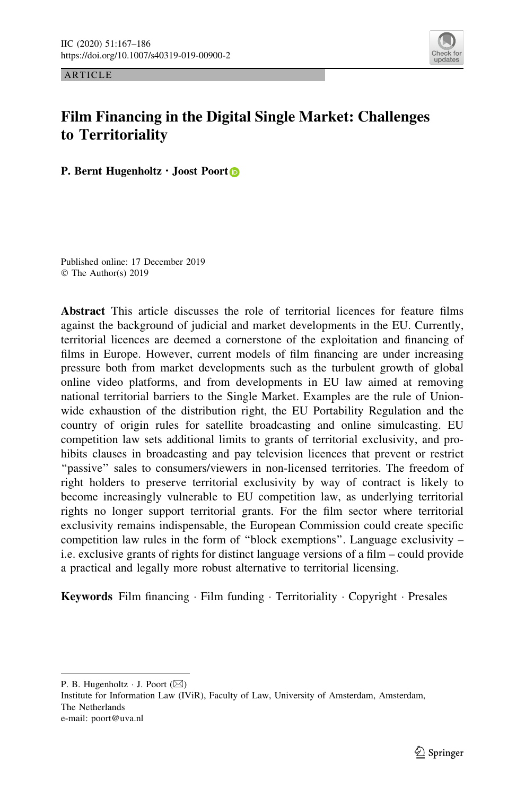

ARTICLE

# Film Financing in the Digital Single Market: Challenges to Territoriality

P. Bern[t](http://orcid.org/0000-0003-4611-8816) Hugenholtz · Joost Poort<sup>®</sup>

Published online: 17 December 2019 © The Author(s) 2019

Abstract This article discusses the role of territorial licences for feature films against the background of judicial and market developments in the EU. Currently, territorial licences are deemed a cornerstone of the exploitation and financing of films in Europe. However, current models of film financing are under increasing pressure both from market developments such as the turbulent growth of global online video platforms, and from developments in EU law aimed at removing national territorial barriers to the Single Market. Examples are the rule of Unionwide exhaustion of the distribution right, the EU Portability Regulation and the country of origin rules for satellite broadcasting and online simulcasting. EU competition law sets additional limits to grants of territorial exclusivity, and prohibits clauses in broadcasting and pay television licences that prevent or restrict ''passive'' sales to consumers/viewers in non-licensed territories. The freedom of right holders to preserve territorial exclusivity by way of contract is likely to become increasingly vulnerable to EU competition law, as underlying territorial rights no longer support territorial grants. For the film sector where territorial exclusivity remains indispensable, the European Commission could create specific competition law rules in the form of ''block exemptions''. Language exclusivity – i.e. exclusive grants of rights for distinct language versions of a film – could provide a practical and legally more robust alternative to territorial licensing.

Keywords Film financing · Film funding · Territoriality · Copyright · Presales

P. B. Hugenholtz  $\cdot$  J. Poort ( $\boxtimes$ )

Institute for Information Law (IViR), Faculty of Law, University of Amsterdam, Amsterdam, The Netherlands e-mail: poort@uva.nl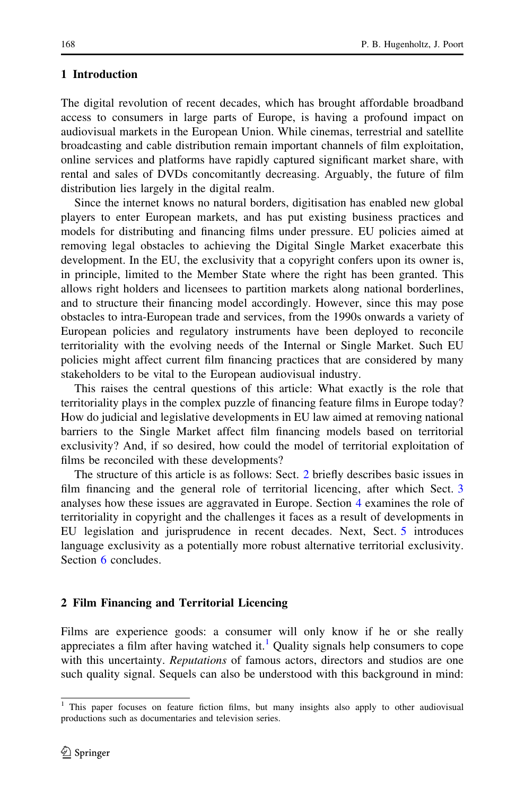### <span id="page-1-0"></span>1 Introduction

The digital revolution of recent decades, which has brought affordable broadband access to consumers in large parts of Europe, is having a profound impact on audiovisual markets in the European Union. While cinemas, terrestrial and satellite broadcasting and cable distribution remain important channels of film exploitation, online services and platforms have rapidly captured significant market share, with rental and sales of DVDs concomitantly decreasing. Arguably, the future of film distribution lies largely in the digital realm.

Since the internet knows no natural borders, digitisation has enabled new global players to enter European markets, and has put existing business practices and models for distributing and financing films under pressure. EU policies aimed at removing legal obstacles to achieving the Digital Single Market exacerbate this development. In the EU, the exclusivity that a copyright confers upon its owner is, in principle, limited to the Member State where the right has been granted. This allows right holders and licensees to partition markets along national borderlines, and to structure their financing model accordingly. However, since this may pose obstacles to intra-European trade and services, from the 1990s onwards a variety of European policies and regulatory instruments have been deployed to reconcile territoriality with the evolving needs of the Internal or Single Market. Such EU policies might affect current film financing practices that are considered by many stakeholders to be vital to the European audiovisual industry.

This raises the central questions of this article: What exactly is the role that territoriality plays in the complex puzzle of financing feature films in Europe today? How do judicial and legislative developments in EU law aimed at removing national barriers to the Single Market affect film financing models based on territorial exclusivity? And, if so desired, how could the model of territorial exploitation of films be reconciled with these developments?

The structure of this article is as follows: Sect. 2 briefly describes basic issues in film financing and the general role of territorial licencing, after which Sect. [3](#page-4-0) analyses how these issues are aggravated in Europe. Section [4](#page-6-0) examines the role of territoriality in copyright and the challenges it faces as a result of developments in EU legislation and jurisprudence in recent decades. Next, Sect. [5](#page-13-0) introduces language exclusivity as a potentially more robust alternative territorial exclusivity. Section [6](#page-16-0) concludes.

## 2 Film Financing and Territorial Licencing

Films are experience goods: a consumer will only know if he or she really appreciates a film after having watched it.<sup>1</sup> Quality signals help consumers to cope with this uncertainty. *Reputations* of famous actors, directors and studios are one such quality signal. Sequels can also be understood with this background in mind:

<sup>&</sup>lt;sup>1</sup> This paper focuses on feature fiction films, but many insights also apply to other audiovisual productions such as documentaries and television series.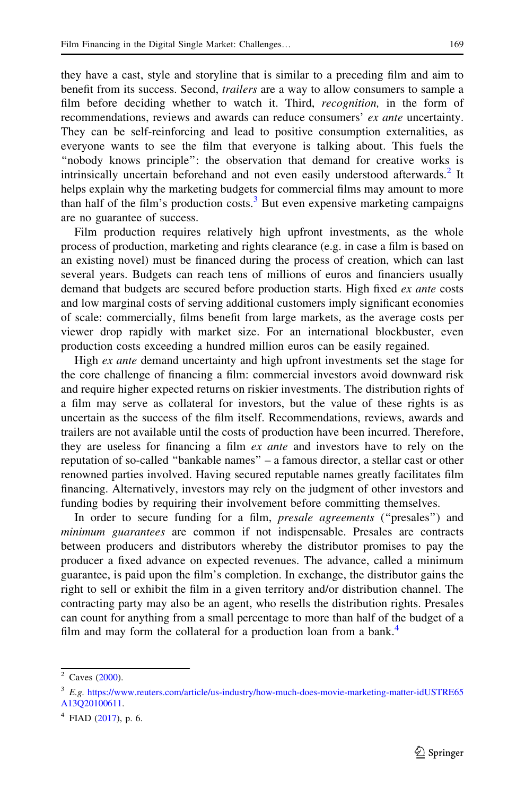they have a cast, style and storyline that is similar to a preceding film and aim to benefit from its success. Second, trailers are a way to allow consumers to sample a film before deciding whether to watch it. Third, *recognition*, in the form of recommendations, reviews and awards can reduce consumers' ex ante uncertainty. They can be self-reinforcing and lead to positive consumption externalities, as everyone wants to see the film that everyone is talking about. This fuels the ''nobody knows principle'': the observation that demand for creative works is intrinsically uncertain beforehand and not even easily understood afterwards.<sup>2</sup> It helps explain why the marketing budgets for commercial films may amount to more than half of the film's production costs.<sup>3</sup> But even expensive marketing campaigns are no guarantee of success.

Film production requires relatively high upfront investments, as the whole process of production, marketing and rights clearance (e.g. in case a film is based on an existing novel) must be financed during the process of creation, which can last several years. Budgets can reach tens of millions of euros and financiers usually demand that budgets are secured before production starts. High fixed *ex ante* costs and low marginal costs of serving additional customers imply significant economies of scale: commercially, films benefit from large markets, as the average costs per viewer drop rapidly with market size. For an international blockbuster, even production costs exceeding a hundred million euros can be easily regained.

High ex ante demand uncertainty and high upfront investments set the stage for the core challenge of financing a film: commercial investors avoid downward risk and require higher expected returns on riskier investments. The distribution rights of a film may serve as collateral for investors, but the value of these rights is as uncertain as the success of the film itself. Recommendations, reviews, awards and trailers are not available until the costs of production have been incurred. Therefore, they are useless for financing a film *ex ante* and investors have to rely on the reputation of so-called ''bankable names'' – a famous director, a stellar cast or other renowned parties involved. Having secured reputable names greatly facilitates film financing. Alternatively, investors may rely on the judgment of other investors and funding bodies by requiring their involvement before committing themselves.

In order to secure funding for a film, *presale agreements* ("presales") and minimum guarantees are common if not indispensable. Presales are contracts between producers and distributors whereby the distributor promises to pay the producer a fixed advance on expected revenues. The advance, called a minimum guarantee, is paid upon the film's completion. In exchange, the distributor gains the right to sell or exhibit the film in a given territory and/or distribution channel. The contracting party may also be an agent, who resells the distribution rights. Presales can count for anything from a small percentage to more than half of the budget of a film and may form the collateral for a production loan from a bank.<sup>4</sup>

 $2$  Caves ([2000\)](#page-18-0).

<sup>&</sup>lt;sup>3</sup> E.g. [https://www.reuters.com/article/us-industry/how-much-does-movie-marketing-matter-idUSTRE65](https://www.reuters.com/article/us-industry/how-much-does-movie-marketing-matter-idUSTRE65A13Q20100611) [A13Q20100611](https://www.reuters.com/article/us-industry/how-much-does-movie-marketing-matter-idUSTRE65A13Q20100611).

 $4$  FIAD ([2017\)](#page-19-0), p. 6.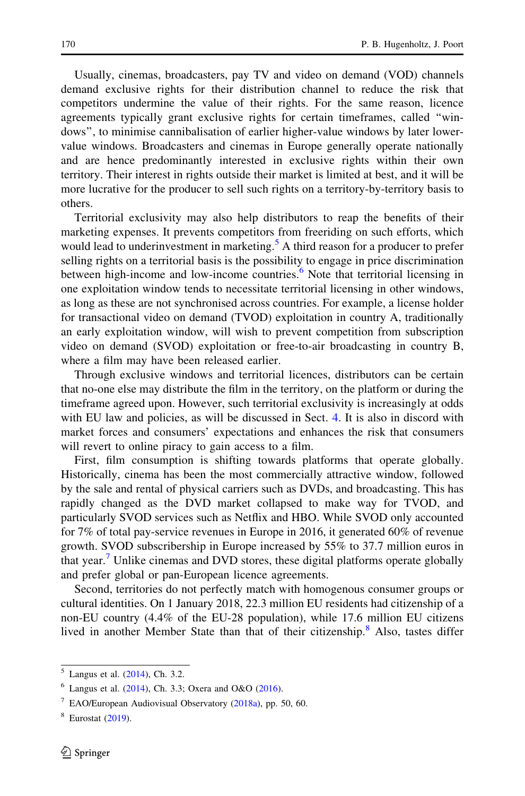Usually, cinemas, broadcasters, pay TV and video on demand (VOD) channels demand exclusive rights for their distribution channel to reduce the risk that competitors undermine the value of their rights. For the same reason, licence agreements typically grant exclusive rights for certain timeframes, called ''windows'', to minimise cannibalisation of earlier higher-value windows by later lowervalue windows. Broadcasters and cinemas in Europe generally operate nationally and are hence predominantly interested in exclusive rights within their own territory. Their interest in rights outside their market is limited at best, and it will be more lucrative for the producer to sell such rights on a territory-by-territory basis to others.

Territorial exclusivity may also help distributors to reap the benefits of their marketing expenses. It prevents competitors from freeriding on such efforts, which would lead to underinvestment in marketing.<sup>5</sup> A third reason for a producer to prefer selling rights on a territorial basis is the possibility to engage in price discrimination between high-income and low-income countries.<sup>6</sup> Note that territorial licensing in one exploitation window tends to necessitate territorial licensing in other windows, as long as these are not synchronised across countries. For example, a license holder for transactional video on demand (TVOD) exploitation in country A, traditionally an early exploitation window, will wish to prevent competition from subscription video on demand (SVOD) exploitation or free-to-air broadcasting in country B, where a film may have been released earlier.

Through exclusive windows and territorial licences, distributors can be certain that no-one else may distribute the film in the territory, on the platform or during the timeframe agreed upon. However, such territorial exclusivity is increasingly at odds with EU law and policies, as will be discussed in Sect. [4](#page-6-0). It is also in discord with market forces and consumers' expectations and enhances the risk that consumers will revert to online piracy to gain access to a film.

First, film consumption is shifting towards platforms that operate globally. Historically, cinema has been the most commercially attractive window, followed by the sale and rental of physical carriers such as DVDs, and broadcasting. This has rapidly changed as the DVD market collapsed to make way for TVOD, and particularly SVOD services such as Netflix and HBO. While SVOD only accounted for 7% of total pay-service revenues in Europe in 2016, it generated 60% of revenue growth. SVOD subscribership in Europe increased by 55% to 37.7 million euros in that year.<sup>7</sup> Unlike cinemas and DVD stores, these digital platforms operate globally and prefer global or pan-European licence agreements.

Second, territories do not perfectly match with homogenous consumer groups or cultural identities. On 1 January 2018, 22.3 million EU residents had citizenship of a non-EU country (4.4% of the EU-28 population), while 17.6 million EU citizens lived in another Member State than that of their citizenship.<sup>8</sup> Also, tastes differ

 $5$  Langus et al. ([2014](#page-19-0)), Ch. 3.2.

 $6$  Langus et al. ([2014](#page-19-0)), Ch. 3.3; Oxera and O&O ([2016\)](#page-19-0).

 $7$  EAO/European Audiovisual Observatory ([2018a](#page-18-0)), pp. 50, 60.

 $8$  Eurostat ([2019\)](#page-19-0).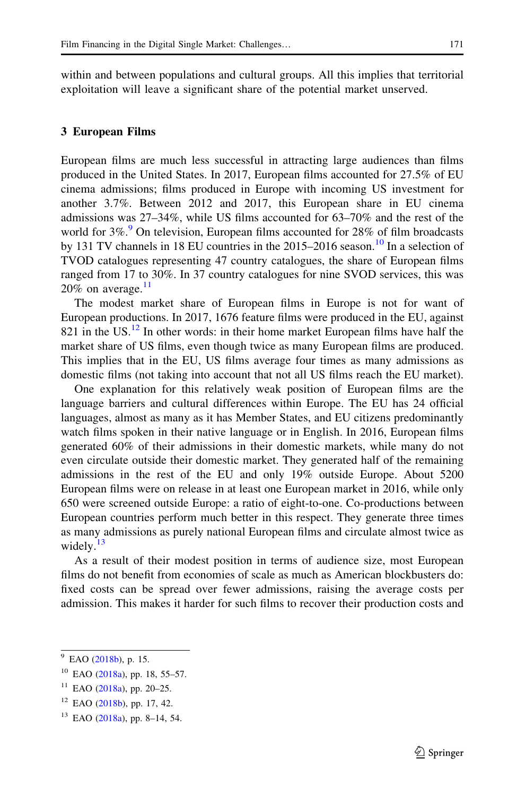<span id="page-4-0"></span>within and between populations and cultural groups. All this implies that territorial exploitation will leave a significant share of the potential market unserved.

#### 3 European Films

European films are much less successful in attracting large audiences than films produced in the United States. In 2017, European films accounted for 27.5% of EU cinema admissions; films produced in Europe with incoming US investment for another 3.7%. Between 2012 and 2017, this European share in EU cinema admissions was 27–34%, while US films accounted for 63–70% and the rest of the world for  $3\%$ .<sup>9</sup> On television, European films accounted for 28% of film broadcasts by 131 TV channels in 18 EU countries in the 2015–2016 season.<sup>10</sup> In a selection of TVOD catalogues representing 47 country catalogues, the share of European films ranged from 17 to 30%. In 37 country catalogues for nine SVOD services, this was 20% on average. $11$ 

The modest market share of European films in Europe is not for want of European productions. In 2017, 1676 feature films were produced in the EU, against 821 in the US. $^{12}$  In other words: in their home market European films have half the market share of US films, even though twice as many European films are produced. This implies that in the EU, US films average four times as many admissions as domestic films (not taking into account that not all US films reach the EU market).

One explanation for this relatively weak position of European films are the language barriers and cultural differences within Europe. The EU has 24 official languages, almost as many as it has Member States, and EU citizens predominantly watch films spoken in their native language or in English. In 2016, European films generated 60% of their admissions in their domestic markets, while many do not even circulate outside their domestic market. They generated half of the remaining admissions in the rest of the EU and only 19% outside Europe. About 5200 European films were on release in at least one European market in 2016, while only 650 were screened outside Europe: a ratio of eight-to-one. Co-productions between European countries perform much better in this respect. They generate three times as many admissions as purely national European films and circulate almost twice as widely. $13$ 

As a result of their modest position in terms of audience size, most European films do not benefit from economies of scale as much as American blockbusters do: fixed costs can be spread over fewer admissions, raising the average costs per admission. This makes it harder for such films to recover their production costs and

<sup>&</sup>lt;sup>9</sup> EAO ([2018b](#page-18-0)), p. 15.

 $10$  EAO ([2018a](#page-18-0)), pp. 18, 55–57.

 $11$  EAO ([2018a](#page-18-0)), pp. 20-25.

 $12$  EAO ([2018b](#page-18-0)), pp. 17, 42.

<sup>13</sup> EAO ([2018a](#page-18-0)), pp. 8–14, 54.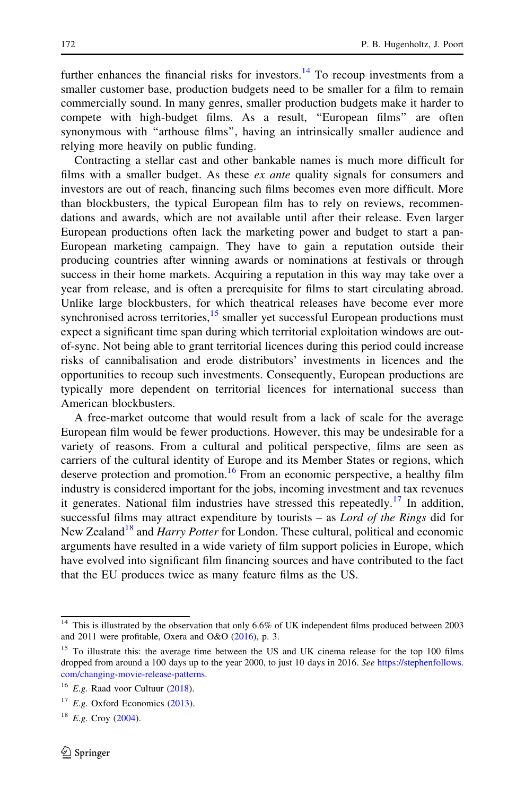further enhances the financial risks for investors.<sup>14</sup> To recoup investments from a smaller customer base, production budgets need to be smaller for a film to remain commercially sound. In many genres, smaller production budgets make it harder to compete with high-budget films. As a result, ''European films'' are often synonymous with ''arthouse films'', having an intrinsically smaller audience and relying more heavily on public funding.

Contracting a stellar cast and other bankable names is much more difficult for films with a smaller budget. As these  $ex$  ante quality signals for consumers and investors are out of reach, financing such films becomes even more difficult. More than blockbusters, the typical European film has to rely on reviews, recommendations and awards, which are not available until after their release. Even larger European productions often lack the marketing power and budget to start a pan-European marketing campaign. They have to gain a reputation outside their producing countries after winning awards or nominations at festivals or through success in their home markets. Acquiring a reputation in this way may take over a year from release, and is often a prerequisite for films to start circulating abroad. Unlike large blockbusters, for which theatrical releases have become ever more synchronised across territories, $\frac{15}{15}$  smaller yet successful European productions must expect a significant time span during which territorial exploitation windows are outof-sync. Not being able to grant territorial licences during this period could increase risks of cannibalisation and erode distributors' investments in licences and the opportunities to recoup such investments. Consequently, European productions are typically more dependent on territorial licences for international success than American blockbusters.

A free-market outcome that would result from a lack of scale for the average European film would be fewer productions. However, this may be undesirable for a variety of reasons. From a cultural and political perspective, films are seen as carriers of the cultural identity of Europe and its Member States or regions, which deserve protection and promotion.<sup>16</sup> From an economic perspective, a healthy film industry is considered important for the jobs, incoming investment and tax revenues it generates. National film industries have stressed this repeatedly.<sup>17</sup> In addition, successful films may attract expenditure by tourists – as *Lord of the Rings* did for New Zealand<sup>18</sup> and *Harry Potter* for London. These cultural, political and economic arguments have resulted in a wide variety of film support policies in Europe, which have evolved into significant film financing sources and have contributed to the fact that the EU produces twice as many feature films as the US.

<sup>&</sup>lt;sup>14</sup> This is illustrated by the observation that only 6.6% of UK independent films produced between 2003 and 2011 were profitable, Oxera and O&O [\(2016](#page-19-0)), p. 3.

<sup>&</sup>lt;sup>15</sup> To illustrate this: the average time between the US and UK cinema release for the top 100 films dropped from around a 100 days up to the year 2000, to just 10 days in 2016. See [https://stephenfollows.](https://stephenfollows.com/changing-movie-release-patterns) [com/changing-movie-release-patterns.](https://stephenfollows.com/changing-movie-release-patterns)

 $16$  E.g. Raad voor Cultuur [\(2018](#page-19-0)).

 $17$  E.g. Oxford Economics ([2013\)](#page-19-0).

 $18$  E.g. Croy ([2004\)](#page-18-0).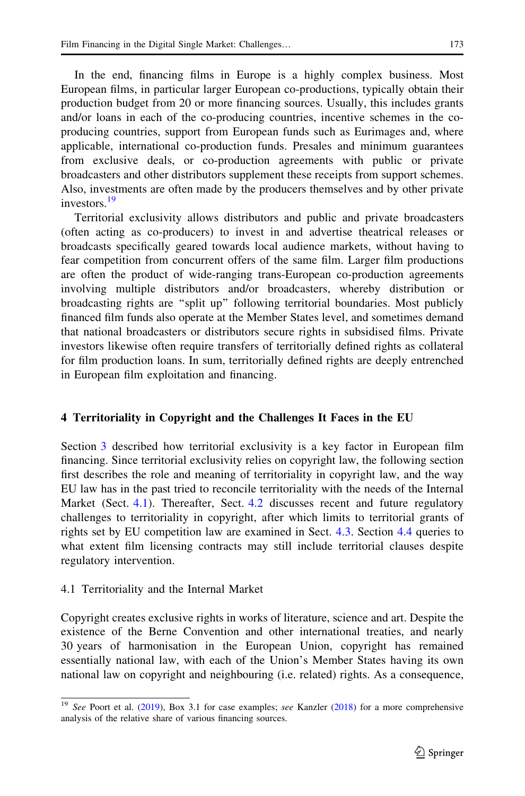<span id="page-6-0"></span>In the end, financing films in Europe is a highly complex business. Most European films, in particular larger European co-productions, typically obtain their production budget from 20 or more financing sources. Usually, this includes grants and/or loans in each of the co-producing countries, incentive schemes in the coproducing countries, support from European funds such as Eurimages and, where applicable, international co-production funds. Presales and minimum guarantees from exclusive deals, or co-production agreements with public or private broadcasters and other distributors supplement these receipts from support schemes. Also, investments are often made by the producers themselves and by other private investors.<sup>19</sup>

Territorial exclusivity allows distributors and public and private broadcasters (often acting as co-producers) to invest in and advertise theatrical releases or broadcasts specifically geared towards local audience markets, without having to fear competition from concurrent offers of the same film. Larger film productions are often the product of wide-ranging trans-European co-production agreements involving multiple distributors and/or broadcasters, whereby distribution or broadcasting rights are ''split up'' following territorial boundaries. Most publicly financed film funds also operate at the Member States level, and sometimes demand that national broadcasters or distributors secure rights in subsidised films. Private investors likewise often require transfers of territorially defined rights as collateral for film production loans. In sum, territorially defined rights are deeply entrenched in European film exploitation and financing.

## 4 Territoriality in Copyright and the Challenges It Faces in the EU

Section [3](#page-4-0) described how territorial exclusivity is a key factor in European film financing. Since territorial exclusivity relies on copyright law, the following section first describes the role and meaning of territoriality in copyright law, and the way EU law has in the past tried to reconcile territoriality with the needs of the Internal Market (Sect. 4.1). Thereafter, Sect. [4.2](#page-8-0) discusses recent and future regulatory challenges to territoriality in copyright, after which limits to territorial grants of rights set by EU competition law are examined in Sect. [4.3.](#page-10-0) Section [4.4](#page-11-0) queries to what extent film licensing contracts may still include territorial clauses despite regulatory intervention.

## 4.1 Territoriality and the Internal Market

Copyright creates exclusive rights in works of literature, science and art. Despite the existence of the Berne Convention and other international treaties, and nearly 30 years of harmonisation in the European Union, copyright has remained essentially national law, with each of the Union's Member States having its own national law on copyright and neighbouring (i.e. related) rights. As a consequence,

 $\frac{19}{19}$  See Poort et al. ([2019\)](#page-19-0), Box 3.1 for case examples; see Kanzler ([2018\)](#page-19-0) for a more comprehensive analysis of the relative share of various financing sources.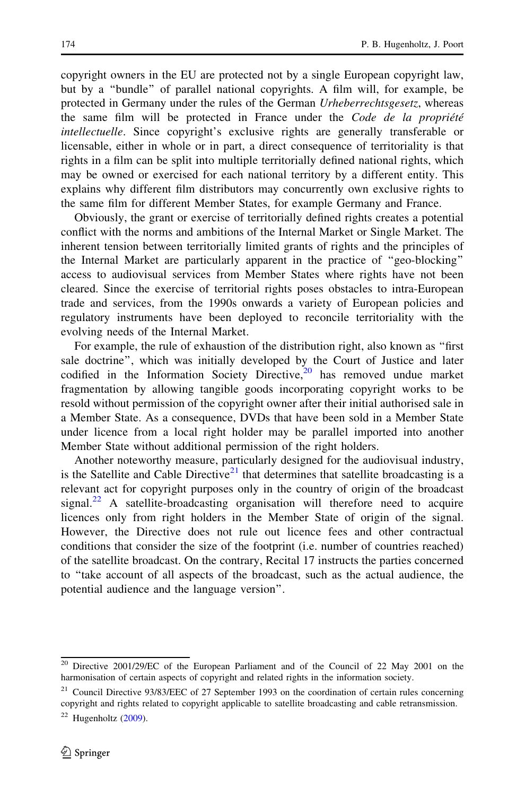copyright owners in the EU are protected not by a single European copyright law, but by a ''bundle'' of parallel national copyrights. A film will, for example, be protected in Germany under the rules of the German Urheberrechtsgesetz, whereas the same film will be protected in France under the Code de la propriété intellectuelle. Since copyright's exclusive rights are generally transferable or licensable, either in whole or in part, a direct consequence of territoriality is that rights in a film can be split into multiple territorially defined national rights, which may be owned or exercised for each national territory by a different entity. This explains why different film distributors may concurrently own exclusive rights to the same film for different Member States, for example Germany and France.

Obviously, the grant or exercise of territorially defined rights creates a potential conflict with the norms and ambitions of the Internal Market or Single Market. The inherent tension between territorially limited grants of rights and the principles of the Internal Market are particularly apparent in the practice of ''geo-blocking'' access to audiovisual services from Member States where rights have not been cleared. Since the exercise of territorial rights poses obstacles to intra-European trade and services, from the 1990s onwards a variety of European policies and regulatory instruments have been deployed to reconcile territoriality with the evolving needs of the Internal Market.

For example, the rule of exhaustion of the distribution right, also known as ''first sale doctrine'', which was initially developed by the Court of Justice and later codified in the Information Society Directive, $20$  has removed undue market fragmentation by allowing tangible goods incorporating copyright works to be resold without permission of the copyright owner after their initial authorised sale in a Member State. As a consequence, DVDs that have been sold in a Member State under licence from a local right holder may be parallel imported into another Member State without additional permission of the right holders.

Another noteworthy measure, particularly designed for the audiovisual industry, is the Satellite and Cable Directive $21$  that determines that satellite broadcasting is a relevant act for copyright purposes only in the country of origin of the broadcast signal.<sup>22</sup> A satellite-broadcasting organisation will therefore need to acquire licences only from right holders in the Member State of origin of the signal. However, the Directive does not rule out licence fees and other contractual conditions that consider the size of the footprint (i.e. number of countries reached) of the satellite broadcast. On the contrary, Recital 17 instructs the parties concerned to ''take account of all aspects of the broadcast, such as the actual audience, the potential audience and the language version''.

<sup>20</sup> Directive 2001/29/EC of the European Parliament and of the Council of 22 May 2001 on the harmonisation of certain aspects of copyright and related rights in the information society.

<sup>&</sup>lt;sup>21</sup> Council Directive 93/83/EEC of 27 September 1993 on the coordination of certain rules concerning copyright and rights related to copyright applicable to satellite broadcasting and cable retransmission.

 $22$  Hugenholtz [\(2009](#page-19-0)).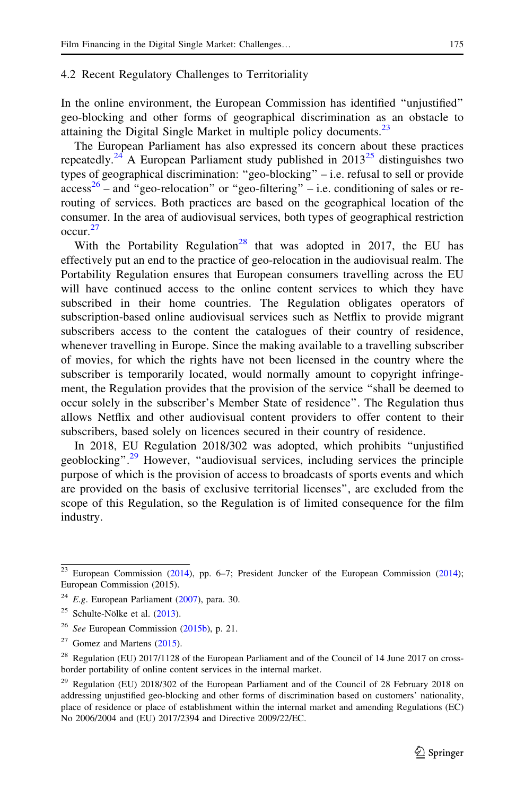#### <span id="page-8-0"></span>4.2 Recent Regulatory Challenges to Territoriality

In the online environment, the European Commission has identified ''unjustified'' geo-blocking and other forms of geographical discrimination as an obstacle to attaining the Digital Single Market in multiple policy documents.<sup>23</sup>

The European Parliament has also expressed its concern about these practices repeatedly.<sup>24</sup> A European Parliament study published in  $2013^{25}$  distinguishes two types of geographical discrimination: ''geo-blocking'' – i.e. refusal to sell or provide  $access^{26}$  – and "geo-relocation" or "geo-filtering" – i.e. conditioning of sales or rerouting of services. Both practices are based on the geographical location of the consumer. In the area of audiovisual services, both types of geographical restriction occur.<sup>27</sup>

With the Portability Regulation<sup>28</sup> that was adopted in 2017, the EU has effectively put an end to the practice of geo-relocation in the audiovisual realm. The Portability Regulation ensures that European consumers travelling across the EU will have continued access to the online content services to which they have subscribed in their home countries. The Regulation obligates operators of subscription-based online audiovisual services such as Netflix to provide migrant subscribers access to the content the catalogues of their country of residence, whenever travelling in Europe. Since the making available to a travelling subscriber of movies, for which the rights have not been licensed in the country where the subscriber is temporarily located, would normally amount to copyright infringement, the Regulation provides that the provision of the service ''shall be deemed to occur solely in the subscriber's Member State of residence''. The Regulation thus allows Netflix and other audiovisual content providers to offer content to their subscribers, based solely on licences secured in their country of residence.

In 2018, EU Regulation 2018/302 was adopted, which prohibits ''unjustified geoblocking".<sup>29</sup> However, "audiovisual services, including services the principle purpose of which is the provision of access to broadcasts of sports events and which are provided on the basis of exclusive territorial licenses'', are excluded from the scope of this Regulation, so the Regulation is of limited consequence for the film industry.

 $23$  European Commission [\(2014](#page-18-0)), pp. 6–7; President Juncker of the European Commission ([2014](#page-19-0)); European Commission (2015).

 $24$  E.g. European Parliament ([2007](#page-19-0)), para. 30.

<sup>&</sup>lt;sup>25</sup> Schulte-Nölke et al.  $(2013)$  $(2013)$ .

 $26$  See European Commission [\(2015b](#page-18-0)), p. 21.

 $27$  Gomez and Martens [\(2015](#page-19-0)).

<sup>&</sup>lt;sup>28</sup> Regulation (EU) 2017/1128 of the European Parliament and of the Council of 14 June 2017 on crossborder portability of online content services in the internal market.

<sup>&</sup>lt;sup>29</sup> Regulation (EU) 2018/302 of the European Parliament and of the Council of 28 February 2018 on addressing unjustified geo-blocking and other forms of discrimination based on customers' nationality, place of residence or place of establishment within the internal market and amending Regulations (EC) No 2006/2004 and (EU) 2017/2394 and Directive 2009/22/EC.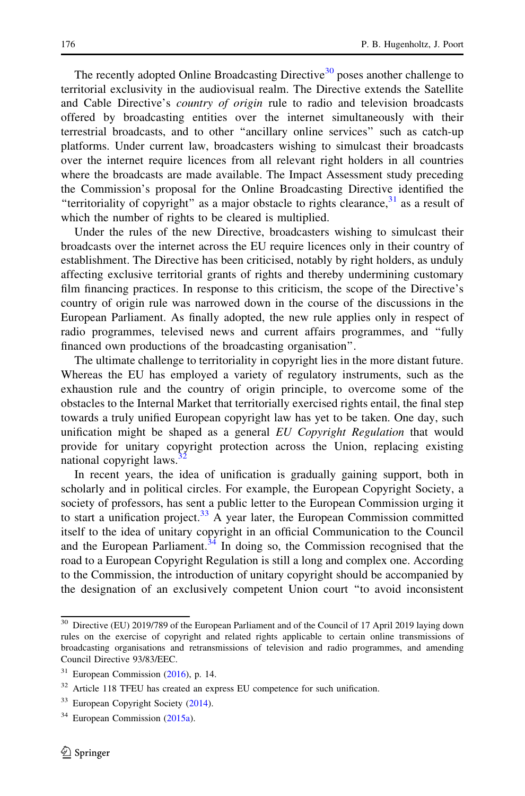The recently adopted Online Broadcasting Directive<sup>30</sup> poses another challenge to territorial exclusivity in the audiovisual realm. The Directive extends the Satellite and Cable Directive's *country of origin* rule to radio and television broadcasts offered by broadcasting entities over the internet simultaneously with their terrestrial broadcasts, and to other ''ancillary online services'' such as catch-up platforms. Under current law, broadcasters wishing to simulcast their broadcasts over the internet require licences from all relevant right holders in all countries where the broadcasts are made available. The Impact Assessment study preceding the Commission's proposal for the Online Broadcasting Directive identified the "territoriality of copyright" as a major obstacle to rights clearance,  $31$  as a result of which the number of rights to be cleared is multiplied.

Under the rules of the new Directive, broadcasters wishing to simulcast their broadcasts over the internet across the EU require licences only in their country of establishment. The Directive has been criticised, notably by right holders, as unduly affecting exclusive territorial grants of rights and thereby undermining customary film financing practices. In response to this criticism, the scope of the Directive's country of origin rule was narrowed down in the course of the discussions in the European Parliament. As finally adopted, the new rule applies only in respect of radio programmes, televised news and current affairs programmes, and ''fully financed own productions of the broadcasting organisation''.

The ultimate challenge to territoriality in copyright lies in the more distant future. Whereas the EU has employed a variety of regulatory instruments, such as the exhaustion rule and the country of origin principle, to overcome some of the obstacles to the Internal Market that territorially exercised rights entail, the final step towards a truly unified European copyright law has yet to be taken. One day, such unification might be shaped as a general EU Copyright Regulation that would provide for unitary copyright protection across the Union, replacing existing national copyright laws.<sup>32</sup>

In recent years, the idea of unification is gradually gaining support, both in scholarly and in political circles. For example, the European Copyright Society, a society of professors, has sent a public letter to the European Commission urging it to start a unification project.<sup>33</sup> A year later, the European Commission committed itself to the idea of unitary copyright in an official Communication to the Council and the European Parliament. $34$  In doing so, the Commission recognised that the road to a European Copyright Regulation is still a long and complex one. According to the Commission, the introduction of unitary copyright should be accompanied by the designation of an exclusively competent Union court ''to avoid inconsistent

<sup>&</sup>lt;sup>30</sup> Directive (EU) 2019/789 of the European Parliament and of the Council of 17 April 2019 laying down rules on the exercise of copyright and related rights applicable to certain online transmissions of broadcasting organisations and retransmissions of television and radio programmes, and amending Council Directive 93/83/EEC.

 $31$  European Commission ([2016\)](#page-18-0), p. 14.

<sup>&</sup>lt;sup>32</sup> Article 118 TFEU has created an express EU competence for such unification.

<sup>&</sup>lt;sup>33</sup> European Copyright Society [\(2014](#page-19-0)).

 $34$  European Commission ([2015a](#page-18-0)).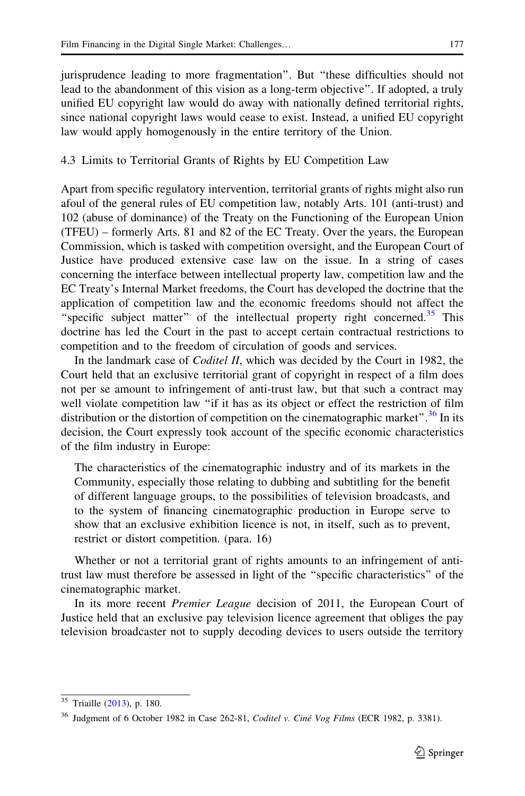<span id="page-10-0"></span>jurisprudence leading to more fragmentation''. But ''these difficulties should not lead to the abandonment of this vision as a long-term objective''. If adopted, a truly unified EU copyright law would do away with nationally defined territorial rights, since national copyright laws would cease to exist. Instead, a unified EU copyright law would apply homogenously in the entire territory of the Union.

## 4.3 Limits to Territorial Grants of Rights by EU Competition Law

Apart from specific regulatory intervention, territorial grants of rights might also run afoul of the general rules of EU competition law, notably Arts. 101 (anti-trust) and 102 (abuse of dominance) of the Treaty on the Functioning of the European Union (TFEU) – formerly Arts. 81 and 82 of the EC Treaty. Over the years, the European Commission, which is tasked with competition oversight, and the European Court of Justice have produced extensive case law on the issue. In a string of cases concerning the interface between intellectual property law, competition law and the EC Treaty's Internal Market freedoms, the Court has developed the doctrine that the application of competition law and the economic freedoms should not affect the "specific subject matter" of the intellectual property right concerned. $35$  This doctrine has led the Court in the past to accept certain contractual restrictions to competition and to the freedom of circulation of goods and services.

In the landmark case of Coditel II, which was decided by the Court in 1982, the Court held that an exclusive territorial grant of copyright in respect of a film does not per se amount to infringement of anti-trust law, but that such a contract may well violate competition law ''if it has as its object or effect the restriction of film distribution or the distortion of competition on the cinematographic market".<sup>36</sup> In its decision, the Court expressly took account of the specific economic characteristics of the film industry in Europe:

The characteristics of the cinematographic industry and of its markets in the Community, especially those relating to dubbing and subtitling for the benefit of different language groups, to the possibilities of television broadcasts, and to the system of financing cinematographic production in Europe serve to show that an exclusive exhibition licence is not, in itself, such as to prevent, restrict or distort competition. (para. 16)

Whether or not a territorial grant of rights amounts to an infringement of antitrust law must therefore be assessed in light of the ''specific characteristics'' of the cinematographic market.

In its more recent Premier League decision of 2011, the European Court of Justice held that an exclusive pay television licence agreement that obliges the pay television broadcaster not to supply decoding devices to users outside the territory

<sup>35</sup> Triaille ([2013\)](#page-19-0), p. 180.

 $36$  Judgment of 6 October 1982 in Case 262-81, *Coditel v. Ciné Vog Films* (ECR 1982, p. 3381).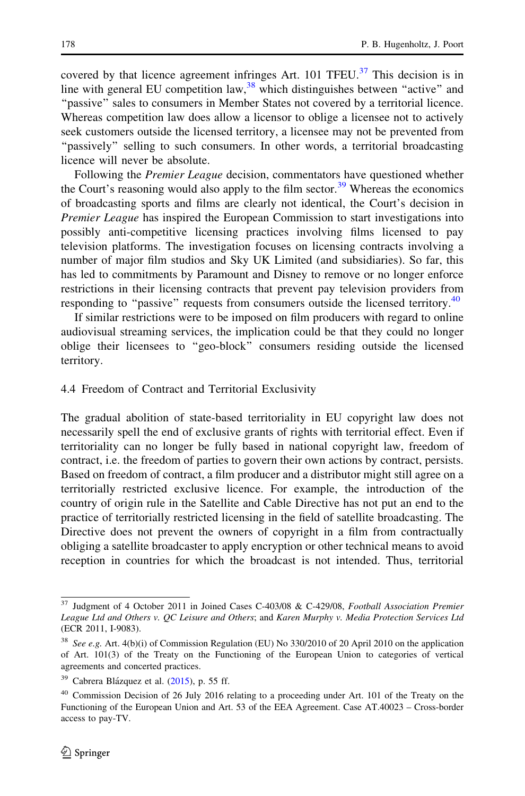<span id="page-11-0"></span>covered by that licence agreement infringes Art. 101 TFEU.<sup>37</sup> This decision is in line with general EU competition  $law<sub>1</sub><sup>38</sup>$  which distinguishes between "active" and "passive" sales to consumers in Member States not covered by a territorial licence. Whereas competition law does allow a licensor to oblige a licensee not to actively seek customers outside the licensed territory, a licensee may not be prevented from "passively" selling to such consumers. In other words, a territorial broadcasting licence will never be absolute.

Following the *Premier League* decision, commentators have questioned whether the Court's reasoning would also apply to the film sector.<sup>39</sup> Whereas the economics of broadcasting sports and films are clearly not identical, the Court's decision in Premier League has inspired the European Commission to start investigations into possibly anti-competitive licensing practices involving films licensed to pay television platforms. The investigation focuses on licensing contracts involving a number of major film studios and Sky UK Limited (and subsidiaries). So far, this has led to commitments by Paramount and Disney to remove or no longer enforce restrictions in their licensing contracts that prevent pay television providers from responding to "passive" requests from consumers outside the licensed territory. $40$ 

If similar restrictions were to be imposed on film producers with regard to online audiovisual streaming services, the implication could be that they could no longer oblige their licensees to ''geo-block'' consumers residing outside the licensed territory.

#### 4.4 Freedom of Contract and Territorial Exclusivity

The gradual abolition of state-based territoriality in EU copyright law does not necessarily spell the end of exclusive grants of rights with territorial effect. Even if territoriality can no longer be fully based in national copyright law, freedom of contract, i.e. the freedom of parties to govern their own actions by contract, persists. Based on freedom of contract, a film producer and a distributor might still agree on a territorially restricted exclusive licence. For example, the introduction of the country of origin rule in the Satellite and Cable Directive has not put an end to the practice of territorially restricted licensing in the field of satellite broadcasting. The Directive does not prevent the owners of copyright in a film from contractually obliging a satellite broadcaster to apply encryption or other technical means to avoid reception in countries for which the broadcast is not intended. Thus, territorial

<sup>37</sup> Judgment of 4 October 2011 in Joined Cases C-403/08 & C-429/08, Football Association Premier League Ltd and Others v. QC Leisure and Others; and Karen Murphy v. Media Protection Services Ltd (ECR 2011, I-9083).

<sup>&</sup>lt;sup>38</sup> See e.g. Art. 4(b)(i) of Commission Regulation (EU) No 330/2010 of 20 April 2010 on the application of Art. 101(3) of the Treaty on the Functioning of the European Union to categories of vertical agreements and concerted practices.

 $39$  Cabrera Blázquez et al. ([2015\)](#page-18-0), p. 55 ff.

<sup>40</sup> Commission Decision of 26 July 2016 relating to a proceeding under Art. 101 of the Treaty on the Functioning of the European Union and Art. 53 of the EEA Agreement. Case AT.40023 – Cross-border access to pay-TV.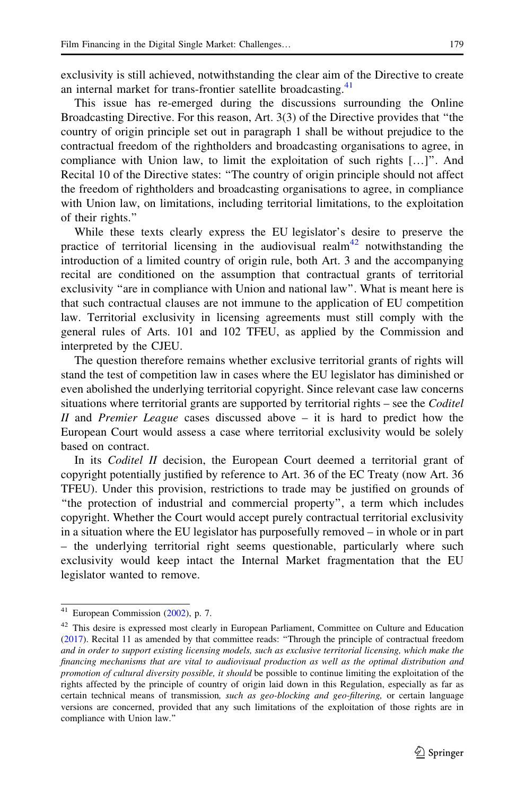exclusivity is still achieved, notwithstanding the clear aim of the Directive to create an internal market for trans-frontier satellite broadcasting.<sup>41</sup>

This issue has re-emerged during the discussions surrounding the Online Broadcasting Directive. For this reason, Art. 3(3) of the Directive provides that ''the country of origin principle set out in paragraph 1 shall be without prejudice to the contractual freedom of the rightholders and broadcasting organisations to agree, in compliance with Union law, to limit the exploitation of such rights […]''. And Recital 10 of the Directive states: ''The country of origin principle should not affect the freedom of rightholders and broadcasting organisations to agree, in compliance with Union law, on limitations, including territorial limitations, to the exploitation of their rights.''

While these texts clearly express the EU legislator's desire to preserve the practice of territorial licensing in the audiovisual realm<sup>42</sup> notwithstanding the introduction of a limited country of origin rule, both Art. 3 and the accompanying recital are conditioned on the assumption that contractual grants of territorial exclusivity ''are in compliance with Union and national law''. What is meant here is that such contractual clauses are not immune to the application of EU competition law. Territorial exclusivity in licensing agreements must still comply with the general rules of Arts. 101 and 102 TFEU, as applied by the Commission and interpreted by the CJEU.

The question therefore remains whether exclusive territorial grants of rights will stand the test of competition law in cases where the EU legislator has diminished or even abolished the underlying territorial copyright. Since relevant case law concerns situations where territorial grants are supported by territorial rights – see the Coditel II and Premier League cases discussed above  $-$  it is hard to predict how the European Court would assess a case where territorial exclusivity would be solely based on contract.

In its *Coditel II* decision, the European Court deemed a territorial grant of copyright potentially justified by reference to Art. 36 of the EC Treaty (now Art. 36 TFEU). Under this provision, restrictions to trade may be justified on grounds of ''the protection of industrial and commercial property'', a term which includes copyright. Whether the Court would accept purely contractual territorial exclusivity in a situation where the EU legislator has purposefully removed – in whole or in part – the underlying territorial right seems questionable, particularly where such exclusivity would keep intact the Internal Market fragmentation that the EU legislator wanted to remove.

 $41$  European Commission ([2002\)](#page-18-0), p. 7.

<sup>&</sup>lt;sup>42</sup> This desire is expressed most clearly in European Parliament, Committee on Culture and Education ([2017\)](#page-19-0). Recital 11 as amended by that committee reads: ''Through the principle of contractual freedom and in order to support existing licensing models, such as exclusive territorial licensing, which make the financing mechanisms that are vital to audiovisual production as well as the optimal distribution and promotion of cultural diversity possible, it should be possible to continue limiting the exploitation of the rights affected by the principle of country of origin laid down in this Regulation, especially as far as certain technical means of transmission, such as geo-blocking and geo-filtering, or certain language versions are concerned, provided that any such limitations of the exploitation of those rights are in compliance with Union law.''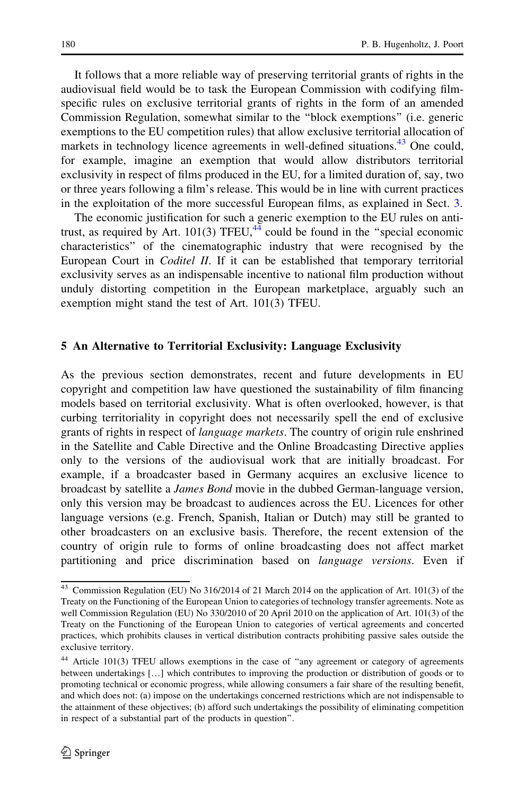<span id="page-13-0"></span>It follows that a more reliable way of preserving territorial grants of rights in the audiovisual field would be to task the European Commission with codifying filmspecific rules on exclusive territorial grants of rights in the form of an amended Commission Regulation, somewhat similar to the ''block exemptions'' (i.e. generic exemptions to the EU competition rules) that allow exclusive territorial allocation of markets in technology licence agreements in well-defined situations.<sup>43</sup> One could, for example, imagine an exemption that would allow distributors territorial exclusivity in respect of films produced in the EU, for a limited duration of, say, two or three years following a film's release. This would be in line with current practices in the exploitation of the more successful European films, as explained in Sect. [3](#page-4-0).

The economic justification for such a generic exemption to the EU rules on antitrust, as required by Art. 101(3) TFEU, $44 \overline{4}$  could be found in the "special economic characteristics'' of the cinematographic industry that were recognised by the European Court in Coditel II. If it can be established that temporary territorial exclusivity serves as an indispensable incentive to national film production without unduly distorting competition in the European marketplace, arguably such an exemption might stand the test of Art. 101(3) TFEU.

#### 5 An Alternative to Territorial Exclusivity: Language Exclusivity

As the previous section demonstrates, recent and future developments in EU copyright and competition law have questioned the sustainability of film financing models based on territorial exclusivity. What is often overlooked, however, is that curbing territoriality in copyright does not necessarily spell the end of exclusive grants of rights in respect of language markets. The country of origin rule enshrined in the Satellite and Cable Directive and the Online Broadcasting Directive applies only to the versions of the audiovisual work that are initially broadcast. For example, if a broadcaster based in Germany acquires an exclusive licence to broadcast by satellite a James Bond movie in the dubbed German-language version, only this version may be broadcast to audiences across the EU. Licences for other language versions (e.g. French, Spanish, Italian or Dutch) may still be granted to other broadcasters on an exclusive basis. Therefore, the recent extension of the country of origin rule to forms of online broadcasting does not affect market partitioning and price discrimination based on *language versions*. Even if

<sup>&</sup>lt;sup>43</sup> Commission Regulation (EU) No 316/2014 of 21 March 2014 on the application of Art. 101(3) of the Treaty on the Functioning of the European Union to categories of technology transfer agreements. Note as well Commission Regulation (EU) No 330/2010 of 20 April 2010 on the application of Art. 101(3) of the Treaty on the Functioning of the European Union to categories of vertical agreements and concerted practices, which prohibits clauses in vertical distribution contracts prohibiting passive sales outside the exclusive territory.

<sup>&</sup>lt;sup>44</sup> Article 101(3) TFEU allows exemptions in the case of "any agreement or category of agreements between undertakings […] which contributes to improving the production or distribution of goods or to promoting technical or economic progress, while allowing consumers a fair share of the resulting benefit, and which does not: (a) impose on the undertakings concerned restrictions which are not indispensable to the attainment of these objectives; (b) afford such undertakings the possibility of eliminating competition in respect of a substantial part of the products in question''.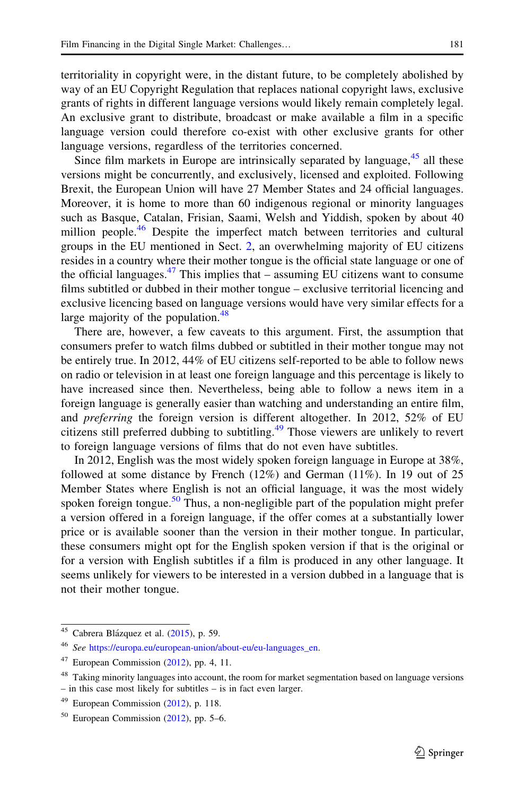territoriality in copyright were, in the distant future, to be completely abolished by way of an EU Copyright Regulation that replaces national copyright laws, exclusive grants of rights in different language versions would likely remain completely legal. An exclusive grant to distribute, broadcast or make available a film in a specific language version could therefore co-exist with other exclusive grants for other language versions, regardless of the territories concerned.

Since film markets in Europe are intrinsically separated by language,  $45$  all these versions might be concurrently, and exclusively, licensed and exploited. Following Brexit, the European Union will have 27 Member States and 24 official languages. Moreover, it is home to more than 60 indigenous regional or minority languages such as Basque, Catalan, Frisian, Saami, Welsh and Yiddish, spoken by about 40 million people.<sup>46</sup> Despite the imperfect match between territories and cultural groups in the EU mentioned in Sect. [2,](#page-1-0) an overwhelming majority of EU citizens resides in a country where their mother tongue is the official state language or one of the official languages. $47$  This implies that – assuming EU citizens want to consume films subtitled or dubbed in their mother tongue – exclusive territorial licencing and exclusive licencing based on language versions would have very similar effects for a large majority of the population. $48$ 

There are, however, a few caveats to this argument. First, the assumption that consumers prefer to watch films dubbed or subtitled in their mother tongue may not be entirely true. In 2012, 44% of EU citizens self-reported to be able to follow news on radio or television in at least one foreign language and this percentage is likely to have increased since then. Nevertheless, being able to follow a news item in a foreign language is generally easier than watching and understanding an entire film, and preferring the foreign version is different altogether. In 2012, 52% of EU citizens still preferred dubbing to subtitling.<sup>49</sup> Those viewers are unlikely to revert to foreign language versions of films that do not even have subtitles.

In 2012, English was the most widely spoken foreign language in Europe at 38%, followed at some distance by French  $(12\%)$  and German  $(11\%)$ . In 19 out of 25 Member States where English is not an official language, it was the most widely spoken foreign tongue.<sup>50</sup> Thus, a non-negligible part of the population might prefer a version offered in a foreign language, if the offer comes at a substantially lower price or is available sooner than the version in their mother tongue. In particular, these consumers might opt for the English spoken version if that is the original or for a version with English subtitles if a film is produced in any other language. It seems unlikely for viewers to be interested in a version dubbed in a language that is not their mother tongue.

 $45$  Cabrera Blázquez et al. ([2015\)](#page-18-0), p. 59.

<sup>46</sup> See [https://europa.eu/european-union/about-eu/eu-languages\\_en](https://europa.eu/european-union/about-eu/eu-languages_en).

 $47$  European Commission ([2012\)](#page-18-0), pp. 4, 11.

<sup>&</sup>lt;sup>48</sup> Taking minority languages into account, the room for market segmentation based on language versions – in this case most likely for subtitles – is in fact even larger.

 $49$  European Commission ([2012\)](#page-18-0), p. 118.

 $50$  European Commission ([2012\)](#page-18-0), pp. 5–6.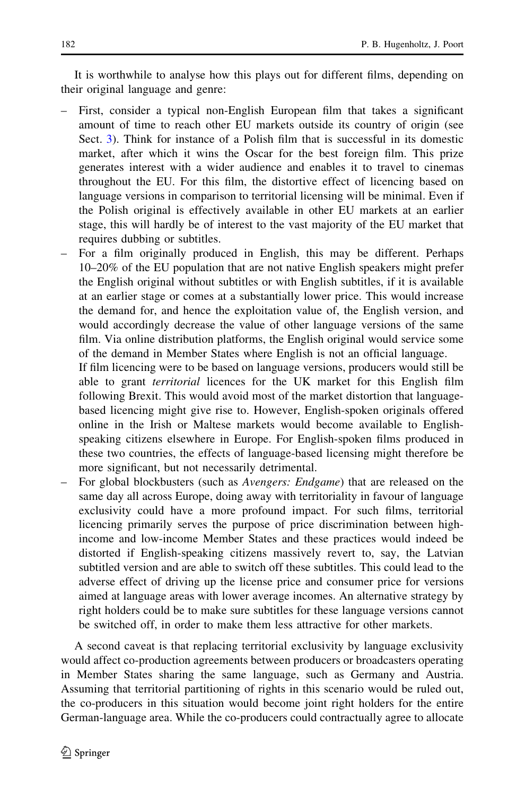It is worthwhile to analyse how this plays out for different films, depending on their original language and genre:

- First, consider a typical non-English European film that takes a significant amount of time to reach other EU markets outside its country of origin (see Sect. [3](#page-4-0)). Think for instance of a Polish film that is successful in its domestic market, after which it wins the Oscar for the best foreign film. This prize generates interest with a wider audience and enables it to travel to cinemas throughout the EU. For this film, the distortive effect of licencing based on language versions in comparison to territorial licensing will be minimal. Even if the Polish original is effectively available in other EU markets at an earlier stage, this will hardly be of interest to the vast majority of the EU market that requires dubbing or subtitles.
- For a film originally produced in English, this may be different. Perhaps 10–20% of the EU population that are not native English speakers might prefer the English original without subtitles or with English subtitles, if it is available at an earlier stage or comes at a substantially lower price. This would increase the demand for, and hence the exploitation value of, the English version, and would accordingly decrease the value of other language versions of the same film. Via online distribution platforms, the English original would service some of the demand in Member States where English is not an official language.

If film licencing were to be based on language versions, producers would still be able to grant *territorial* licences for the UK market for this English film following Brexit. This would avoid most of the market distortion that languagebased licencing might give rise to. However, English-spoken originals offered online in the Irish or Maltese markets would become available to Englishspeaking citizens elsewhere in Europe. For English-spoken films produced in these two countries, the effects of language-based licensing might therefore be more significant, but not necessarily detrimental.

For global blockbusters (such as *Avengers: Endgame*) that are released on the same day all across Europe, doing away with territoriality in favour of language exclusivity could have a more profound impact. For such films, territorial licencing primarily serves the purpose of price discrimination between highincome and low-income Member States and these practices would indeed be distorted if English-speaking citizens massively revert to, say, the Latvian subtitled version and are able to switch off these subtitles. This could lead to the adverse effect of driving up the license price and consumer price for versions aimed at language areas with lower average incomes. An alternative strategy by right holders could be to make sure subtitles for these language versions cannot be switched off, in order to make them less attractive for other markets.

A second caveat is that replacing territorial exclusivity by language exclusivity would affect co-production agreements between producers or broadcasters operating in Member States sharing the same language, such as Germany and Austria. Assuming that territorial partitioning of rights in this scenario would be ruled out, the co-producers in this situation would become joint right holders for the entire German-language area. While the co-producers could contractually agree to allocate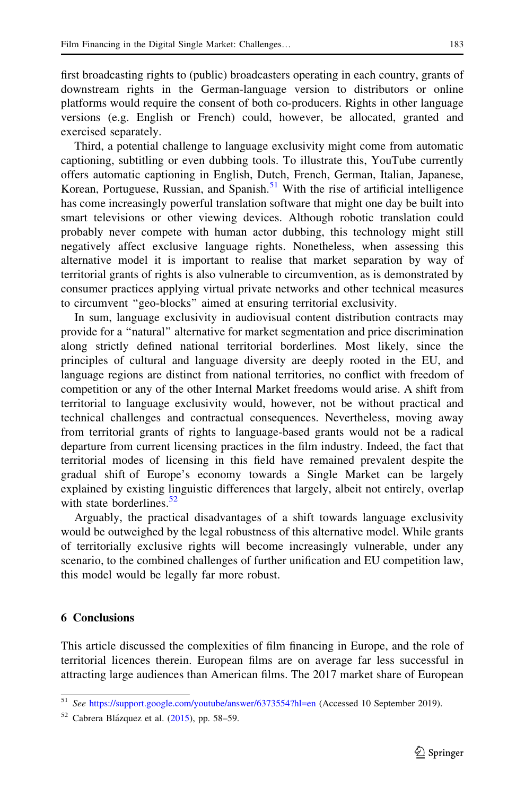<span id="page-16-0"></span>first broadcasting rights to (public) broadcasters operating in each country, grants of downstream rights in the German-language version to distributors or online platforms would require the consent of both co-producers. Rights in other language versions (e.g. English or French) could, however, be allocated, granted and exercised separately.

Third, a potential challenge to language exclusivity might come from automatic captioning, subtitling or even dubbing tools. To illustrate this, YouTube currently offers automatic captioning in English, Dutch, French, German, Italian, Japanese, Korean, Portuguese, Russian, and Spanish.<sup>51</sup> With the rise of artificial intelligence has come increasingly powerful translation software that might one day be built into smart televisions or other viewing devices. Although robotic translation could probably never compete with human actor dubbing, this technology might still negatively affect exclusive language rights. Nonetheless, when assessing this alternative model it is important to realise that market separation by way of territorial grants of rights is also vulnerable to circumvention, as is demonstrated by consumer practices applying virtual private networks and other technical measures to circumvent ''geo-blocks'' aimed at ensuring territorial exclusivity.

In sum, language exclusivity in audiovisual content distribution contracts may provide for a ''natural'' alternative for market segmentation and price discrimination along strictly defined national territorial borderlines. Most likely, since the principles of cultural and language diversity are deeply rooted in the EU, and language regions are distinct from national territories, no conflict with freedom of competition or any of the other Internal Market freedoms would arise. A shift from territorial to language exclusivity would, however, not be without practical and technical challenges and contractual consequences. Nevertheless, moving away from territorial grants of rights to language-based grants would not be a radical departure from current licensing practices in the film industry. Indeed, the fact that territorial modes of licensing in this field have remained prevalent despite the gradual shift of Europe's economy towards a Single Market can be largely explained by existing linguistic differences that largely, albeit not entirely, overlap with state borderlines. $52$ 

Arguably, the practical disadvantages of a shift towards language exclusivity would be outweighed by the legal robustness of this alternative model. While grants of territorially exclusive rights will become increasingly vulnerable, under any scenario, to the combined challenges of further unification and EU competition law, this model would be legally far more robust.

#### 6 Conclusions

This article discussed the complexities of film financing in Europe, and the role of territorial licences therein. European films are on average far less successful in attracting large audiences than American films. The 2017 market share of European

<sup>51</sup> See <https://support.google.com/youtube/answer/6373554?hl=en> (Accessed 10 September 2019).

 $52$  Cabrera Blázquez et al. ([2015\)](#page-18-0), pp. 58–59.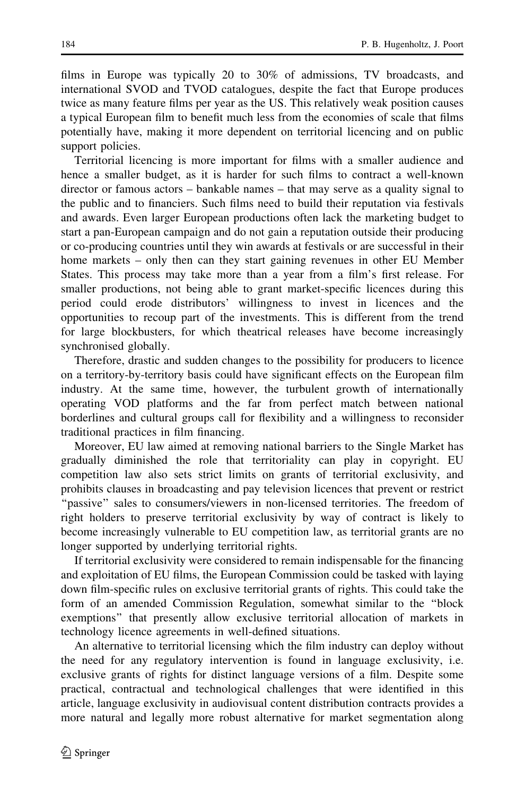films in Europe was typically 20 to 30% of admissions, TV broadcasts, and international SVOD and TVOD catalogues, despite the fact that Europe produces twice as many feature films per year as the US. This relatively weak position causes a typical European film to benefit much less from the economies of scale that films potentially have, making it more dependent on territorial licencing and on public support policies.

Territorial licencing is more important for films with a smaller audience and hence a smaller budget, as it is harder for such films to contract a well-known director or famous actors – bankable names – that may serve as a quality signal to the public and to financiers. Such films need to build their reputation via festivals and awards. Even larger European productions often lack the marketing budget to start a pan-European campaign and do not gain a reputation outside their producing or co-producing countries until they win awards at festivals or are successful in their home markets – only then can they start gaining revenues in other EU Member States. This process may take more than a year from a film's first release. For smaller productions, not being able to grant market-specific licences during this period could erode distributors' willingness to invest in licences and the opportunities to recoup part of the investments. This is different from the trend for large blockbusters, for which theatrical releases have become increasingly synchronised globally.

Therefore, drastic and sudden changes to the possibility for producers to licence on a territory-by-territory basis could have significant effects on the European film industry. At the same time, however, the turbulent growth of internationally operating VOD platforms and the far from perfect match between national borderlines and cultural groups call for flexibility and a willingness to reconsider traditional practices in film financing.

Moreover, EU law aimed at removing national barriers to the Single Market has gradually diminished the role that territoriality can play in copyright. EU competition law also sets strict limits on grants of territorial exclusivity, and prohibits clauses in broadcasting and pay television licences that prevent or restrict ''passive'' sales to consumers/viewers in non-licensed territories. The freedom of right holders to preserve territorial exclusivity by way of contract is likely to become increasingly vulnerable to EU competition law, as territorial grants are no longer supported by underlying territorial rights.

If territorial exclusivity were considered to remain indispensable for the financing and exploitation of EU films, the European Commission could be tasked with laying down film-specific rules on exclusive territorial grants of rights. This could take the form of an amended Commission Regulation, somewhat similar to the ''block exemptions'' that presently allow exclusive territorial allocation of markets in technology licence agreements in well-defined situations.

An alternative to territorial licensing which the film industry can deploy without the need for any regulatory intervention is found in language exclusivity, i.e. exclusive grants of rights for distinct language versions of a film. Despite some practical, contractual and technological challenges that were identified in this article, language exclusivity in audiovisual content distribution contracts provides a more natural and legally more robust alternative for market segmentation along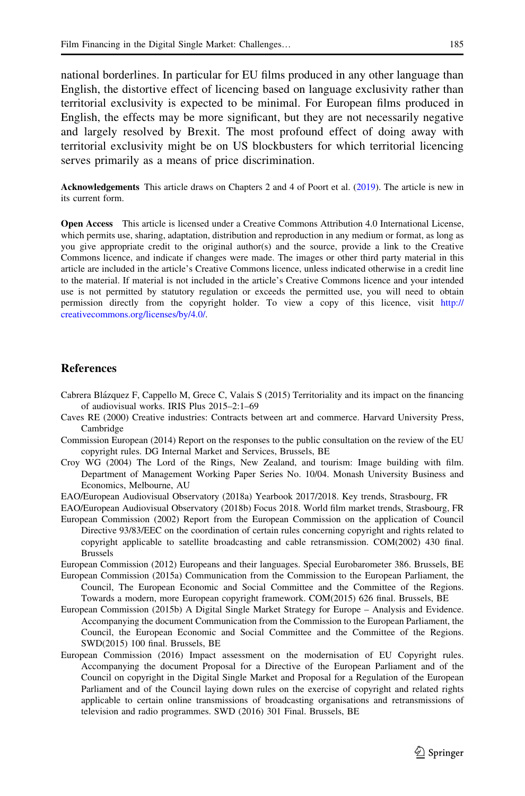<span id="page-18-0"></span>national borderlines. In particular for EU films produced in any other language than English, the distortive effect of licencing based on language exclusivity rather than territorial exclusivity is expected to be minimal. For European films produced in English, the effects may be more significant, but they are not necessarily negative and largely resolved by Brexit. The most profound effect of doing away with territorial exclusivity might be on US blockbusters for which territorial licencing serves primarily as a means of price discrimination.

Acknowledgements This article draws on Chapters 2 and 4 of Poort et al. ([2019](#page-19-0)). The article is new in its current form.

Open Access This article is licensed under a Creative Commons Attribution 4.0 International License, which permits use, sharing, adaptation, distribution and reproduction in any medium or format, as long as you give appropriate credit to the original author(s) and the source, provide a link to the Creative Commons licence, and indicate if changes were made. The images or other third party material in this article are included in the article's Creative Commons licence, unless indicated otherwise in a credit line to the material. If material is not included in the article's Creative Commons licence and your intended use is not permitted by statutory regulation or exceeds the permitted use, you will need to obtain permission directly from the copyright holder. To view a copy of this licence, visit [http://](http://creativecommons.org/licenses/by/4.0/) [creativecommons.org/licenses/by/4.0/.](http://creativecommons.org/licenses/by/4.0/)

#### References

- Cabrera Blázquez F, Cappello M, Grece C, Valais S (2015) Territoriality and its impact on the financing of audiovisual works. IRIS Plus 2015–2:1–69
- Caves RE (2000) Creative industries: Contracts between art and commerce. Harvard University Press, Cambridge
- Commission European (2014) Report on the responses to the public consultation on the review of the EU copyright rules. DG Internal Market and Services, Brussels, BE
- Croy WG (2004) The Lord of the Rings, New Zealand, and tourism: Image building with film. Department of Management Working Paper Series No. 10/04. Monash University Business and Economics, Melbourne, AU
- EAO/European Audiovisual Observatory (2018a) Yearbook 2017/2018. Key trends, Strasbourg, FR
- EAO/European Audiovisual Observatory (2018b) Focus 2018. World film market trends, Strasbourg, FR European Commission (2002) Report from the European Commission on the application of Council Directive 93/83/EEC on the coordination of certain rules concerning copyright and rights related to copyright applicable to satellite broadcasting and cable retransmission. COM(2002) 430 final. Brussels
- European Commission (2012) Europeans and their languages. Special Eurobarometer 386. Brussels, BE European Commission (2015a) Communication from the Commission to the European Parliament, the
- Council, The European Economic and Social Committee and the Committee of the Regions. Towards a modern, more European copyright framework. COM(2015) 626 final. Brussels, BE
- European Commission (2015b) A Digital Single Market Strategy for Europe Analysis and Evidence. Accompanying the document Communication from the Commission to the European Parliament, the Council, the European Economic and Social Committee and the Committee of the Regions. SWD(2015) 100 final. Brussels, BE
- European Commission (2016) Impact assessment on the modernisation of EU Copyright rules. Accompanying the document Proposal for a Directive of the European Parliament and of the Council on copyright in the Digital Single Market and Proposal for a Regulation of the European Parliament and of the Council laying down rules on the exercise of copyright and related rights applicable to certain online transmissions of broadcasting organisations and retransmissions of television and radio programmes. SWD (2016) 301 Final. Brussels, BE